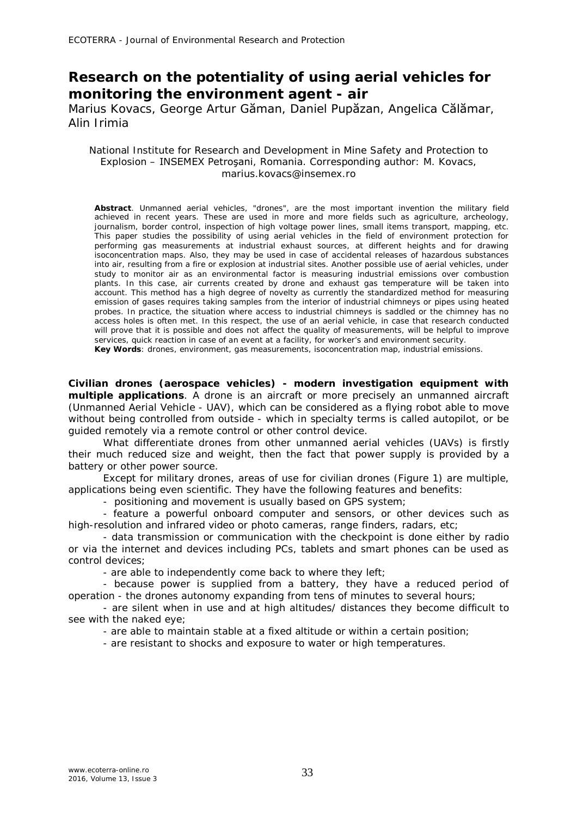## **Research on the potentiality of using aerial vehicles for monitoring the environment agent - air**

Marius Kovacs, George Artur Găman, Daniel Pupăzan, Angelica Călămar, Alin Irimia

## National Institute for Research and Development in Mine Safety and Protection to Explosion – INSEMEX Petroşani, Romania. Corresponding author: M. Kovacs, marius.kovacs@insemex.ro

**Abstract**. Unmanned aerial vehicles, "drones", are the most important invention the military field achieved in recent years. These are used in more and more fields such as agriculture, archeology, journalism, border control, inspection of high voltage power lines, small items transport, mapping, etc. This paper studies the possibility of using aerial vehicles in the field of environment protection for performing gas measurements at industrial exhaust sources, at different heights and for drawing isoconcentration maps. Also, they may be used in case of accidental releases of hazardous substances into air, resulting from a fire or explosion at industrial sites. Another possible use of aerial vehicles, under study to monitor air as an environmental factor is measuring industrial emissions over combustion plants. In this case, air currents created by drone and exhaust gas temperature will be taken into account. This method has a high degree of novelty as currently the standardized method for measuring emission of gases requires taking samples from the interior of industrial chimneys or pipes using heated probes. In practice, the situation where access to industrial chimneys is saddled or the chimney has no access holes is often met. In this respect, the use of an aerial vehicle, in case that research conducted will prove that it is possible and does not affect the quality of measurements, will be helpful to improve services, quick reaction in case of an event at a facility, for worker's and environment security.

**Key Words**: drones, environment, gas measurements, isoconcentration map, industrial emissions.

**Civilian drones (aerospace vehicles) - modern investigation equipment with multiple applications**. A drone is an aircraft or more precisely an unmanned aircraft (Unmanned Aerial Vehicle - UAV), which can be considered as a flying robot able to move without being controlled from outside - which in specialty terms is called autopilot, or be guided remotely via a remote control or other control device.

What differentiate drones from other unmanned aerial vehicles (UAVs) is firstly their much reduced size and weight, then the fact that power supply is provided by a battery or other power source.

Except for military drones, areas of use for civilian drones (Figure 1) are multiple, applications being even scientific. They have the following features and benefits:

- positioning and movement is usually based on GPS system;

- feature a powerful onboard computer and sensors, or other devices such as high-resolution and infrared video or photo cameras, range finders, radars, etc;

- data transmission or communication with the checkpoint is done either by radio or via the internet and devices including PCs, tablets and smart phones can be used as control devices;

- are able to independently come back to where they left;

- because power is supplied from a battery, they have a reduced period of operation - the drones autonomy expanding from tens of minutes to several hours;

- are silent when in use and at high altitudes/ distances they become difficult to see with the naked eye;

- are able to maintain stable at a fixed altitude or within a certain position;

- are resistant to shocks and exposure to water or high temperatures.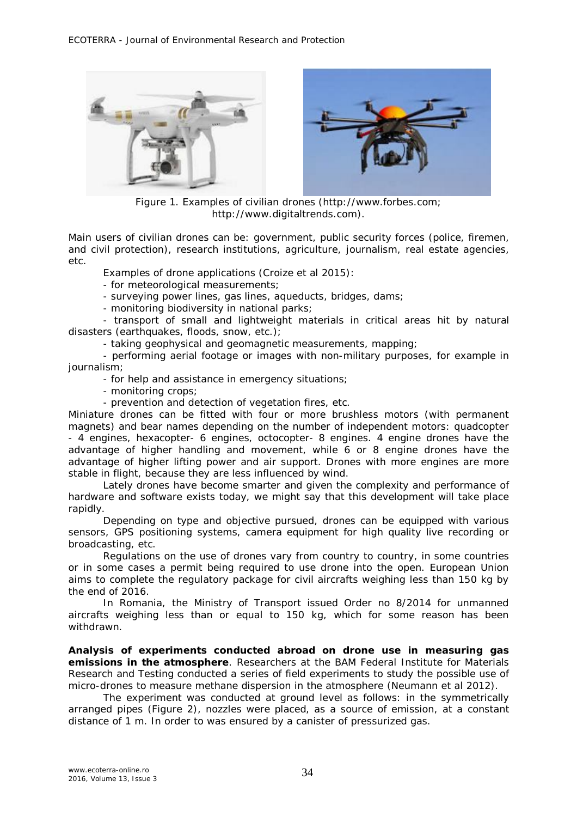



Figure 1. Examples of civilian drones (http://www.forbes.com; http://www.digitaltrends.com).

Main users of civilian drones can be: government, public security forces (police, firemen, and civil protection), research institutions, agriculture, journalism, real estate agencies, etc.

Examples of drone applications (Croize et al 2015):

- for meteorological measurements;
- surveying power lines, gas lines, aqueducts, bridges, dams;

- monitoring biodiversity in national parks;

- transport of small and lightweight materials in critical areas hit by natural disasters (earthquakes, floods, snow, etc.);

- taking geophysical and geomagnetic measurements, mapping;

- performing aerial footage or images with non-military purposes, for example in journalism;

- for help and assistance in emergency situations;

- monitoring crops;

- prevention and detection of vegetation fires, etc.

Miniature drones can be fitted with four or more brushless motors (with permanent magnets) and bear names depending on the number of independent motors: quadcopter - 4 engines, hexacopter- 6 engines, octocopter- 8 engines. 4 engine drones have the advantage of higher handling and movement, while 6 or 8 engine drones have the advantage of higher lifting power and air support. Drones with more engines are more stable in flight, because they are less influenced by wind.

Lately drones have become smarter and given the complexity and performance of hardware and software exists today, we might say that this development will take place rapidly.

Depending on type and objective pursued, drones can be equipped with various sensors, GPS positioning systems, camera equipment for high quality live recording or broadcasting, etc.

Regulations on the use of drones vary from country to country, in some countries or in some cases a permit being required to use drone into the open. European Union aims to complete the regulatory package for civil aircrafts weighing less than 150 kg by the end of 2016.

In Romania, the Ministry of Transport issued Order no 8/2014 for unmanned aircrafts weighing less than or equal to 150 kg, which for some reason has been withdrawn.

**Analysis of experiments conducted abroad on drone use in measuring gas emissions in the atmosphere**. Researchers at the BAM Federal Institute for Materials Research and Testing conducted a series of field experiments to study the possible use of micro-drones to measure methane dispersion in the atmosphere (Neumann et al 2012).

The experiment was conducted at ground level as follows: in the symmetrically arranged pipes (Figure 2), nozzles were placed, as a source of emission, at a constant distance of 1 m. In order to was ensured by a canister of pressurized gas.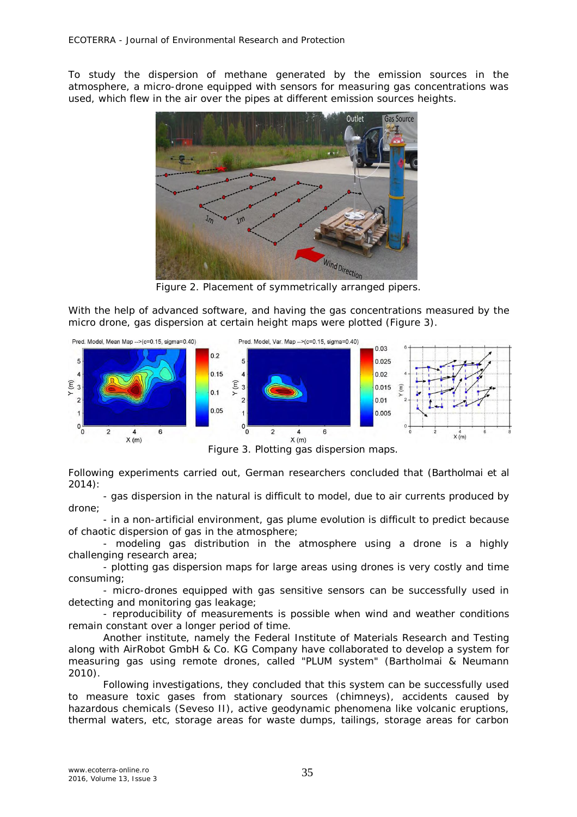To study the dispersion of methane generated by the emission sources in the atmosphere, a micro-drone equipped with sensors for measuring gas concentrations was used, which flew in the air over the pipes at different emission sources heights.



Figure 2. Placement of symmetrically arranged pipers.

With the help of advanced software, and having the gas concentrations measured by the micro drone, gas dispersion at certain height maps were plotted (Figure 3).



Figure 3. Plotting gas dispersion maps.

Following experiments carried out, German researchers concluded that (Bartholmai et al 2014):

- gas dispersion in the natural is difficult to model, due to air currents produced by drone;

- in a non-artificial environment, gas plume evolution is difficult to predict because of chaotic dispersion of gas in the atmosphere;

- modeling gas distribution in the atmosphere using a drone is a highly challenging research area;

- plotting gas dispersion maps for large areas using drones is very costly and time consuming;

- micro-drones equipped with gas sensitive sensors can be successfully used in detecting and monitoring gas leakage;

- reproducibility of measurements is possible when wind and weather conditions remain constant over a longer period of time.

Another institute, namely the Federal Institute of Materials Research and Testing along with AirRobot GmbH & Co. KG Company have collaborated to develop a system for measuring gas using remote drones, called "PLUM system" (Bartholmai & Neumann 2010).

Following investigations, they concluded that this system can be successfully used to measure toxic gases from stationary sources (chimneys), accidents caused by hazardous chemicals (Seveso II), active geodynamic phenomena like volcanic eruptions, thermal waters, etc, storage areas for waste dumps, tailings, storage areas for carbon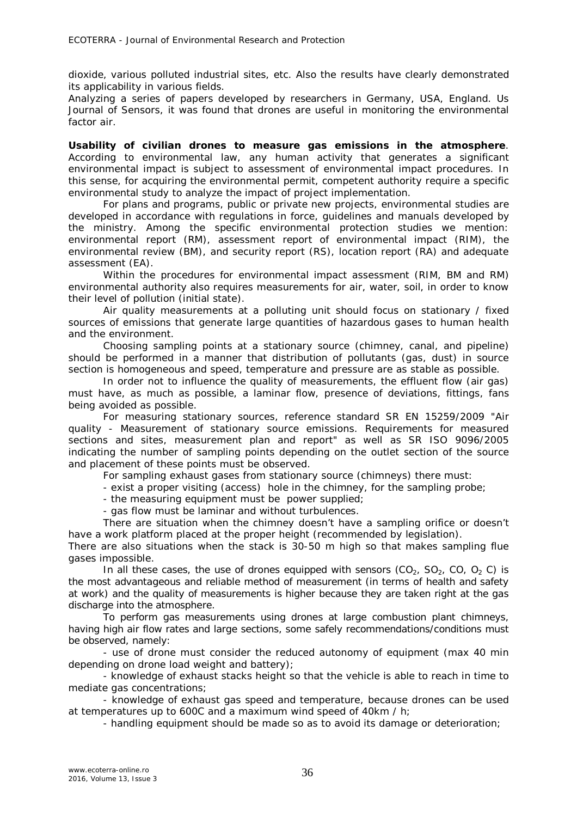dioxide, various polluted industrial sites, etc. Also the results have clearly demonstrated its applicability in various fields.

Analyzing a series of papers developed by researchers in Germany, USA, England. Us Journal of Sensors, it was found that drones are useful in monitoring the environmental factor air.

**Usability of civilian drones to measure gas emissions in the atmosphere**. According to environmental law, any human activity that generates a significant environmental impact is subject to assessment of environmental impact procedures. In this sense, for acquiring the environmental permit, competent authority require a specific environmental study to analyze the impact of project implementation.

For plans and programs, public or private new projects, environmental studies are developed in accordance with regulations in force, guidelines and manuals developed by the ministry. Among the specific environmental protection studies we mention: environmental report (RM), assessment report of environmental impact (RIM), the environmental review (BM), and security report (RS), location report (RA) and adequate assessment (EA).

Within the procedures for environmental impact assessment (RIM, BM and RM) environmental authority also requires measurements for air, water, soil, in order to know their level of pollution (initial state).

Air quality measurements at a polluting unit should focus on stationary / fixed sources of emissions that generate large quantities of hazardous gases to human health and the environment.

Choosing sampling points at a stationary source (chimney, canal, and pipeline) should be performed in a manner that distribution of pollutants (gas, dust) in source section is homogeneous and speed, temperature and pressure are as stable as possible.

In order not to influence the quality of measurements, the effluent flow (air gas) must have, as much as possible, a laminar flow, presence of deviations, fittings, fans being avoided as possible.

For measuring stationary sources, reference standard SR EN 15259/2009 "Air quality - Measurement of stationary source emissions. Requirements for measured sections and sites, measurement plan and report" as well as SR ISO 9096/2005 indicating the number of sampling points depending on the outlet section of the source and placement of these points must be observed.

For sampling exhaust gases from stationary source (chimneys) there must:

- exist a proper visiting (access) hole in the chimney, for the sampling probe;

- the measuring equipment must be power supplied;

- gas flow must be laminar and without turbulences.

There are situation when the chimney doesn't have a sampling orifice or doesn't have a work platform placed at the proper height (recommended by legislation).

There are also situations when the stack is 30-50 m high so that makes sampling flue gases impossible.

In all these cases, the use of drones equipped with sensors  $(CO<sub>2</sub>, SO<sub>2</sub>, CO, O<sub>2</sub> C)$  is the most advantageous and reliable method of measurement (in terms of health and safety at work) and the quality of measurements is higher because they are taken right at the gas discharge into the atmosphere.

To perform gas measurements using drones at large combustion plant chimneys, having high air flow rates and large sections, some safely recommendations/conditions must be observed, namely:

- use of drone must consider the reduced autonomy of equipment (max 40 min depending on drone load weight and battery);

- knowledge of exhaust stacks height so that the vehicle is able to reach in time to mediate gas concentrations;

- knowledge of exhaust gas speed and temperature, because drones can be used at temperatures up to 600C and a maximum wind speed of 40km / h;

- handling equipment should be made so as to avoid its damage or deterioration;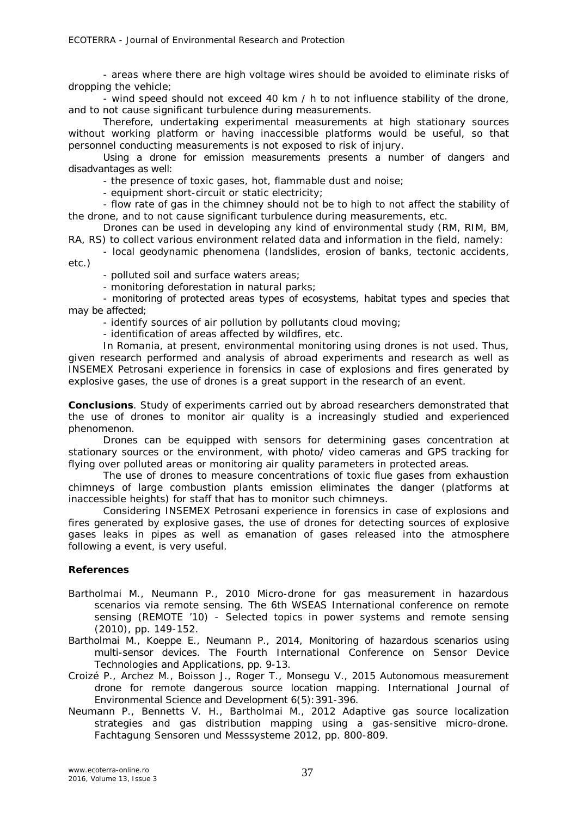- areas where there are high voltage wires should be avoided to eliminate risks of dropping the vehicle;

- wind speed should not exceed 40 km / h to not influence stability of the drone, and to not cause significant turbulence during measurements.

Therefore, undertaking experimental measurements at high stationary sources without working platform or having inaccessible platforms would be useful, so that personnel conducting measurements is not exposed to risk of injury.

Using a drone for emission measurements presents a number of dangers and disadvantages as well:

- the presence of toxic gases, hot, flammable dust and noise;

- equipment short-circuit or static electricity;

- flow rate of gas in the chimney should not be to high to not affect the stability of the drone, and to not cause significant turbulence during measurements, etc.

Drones can be used in developing any kind of environmental study (RM, RIM, BM, RA, RS) to collect various environment related data and information in the field, namely:

- local geodynamic phenomena (landslides, erosion of banks, tectonic accidents, etc.)

- polluted soil and surface waters areas;

- monitoring deforestation in natural parks;

- monitoring of protected areas types of ecosystems, habitat types and species that may be affected;

- identify sources of air pollution by pollutants cloud moving;

- identification of areas affected by wildfires, etc.

In Romania, at present, environmental monitoring using drones is not used. Thus, given research performed and analysis of abroad experiments and research as well as INSEMEX Petrosani experience in forensics in case of explosions and fires generated by explosive gases, the use of drones is a great support in the research of an event.

**Conclusions**. Study of experiments carried out by abroad researchers demonstrated that the use of drones to monitor air quality is a increasingly studied and experienced phenomenon.

Drones can be equipped with sensors for determining gases concentration at stationary sources or the environment, with photo/ video cameras and GPS tracking for flying over polluted areas or monitoring air quality parameters in protected areas.

The use of drones to measure concentrations of toxic flue gases from exhaustion chimneys of large combustion plants emission eliminates the danger (platforms at inaccessible heights) for staff that has to monitor such chimneys.

Considering INSEMEX Petrosani experience in forensics in case of explosions and fires generated by explosive gases, the use of drones for detecting sources of explosive gases leaks in pipes as well as emanation of gases released into the atmosphere following a event, is very useful.

## **References**

- Bartholmai M., Neumann P., 2010 Micro-drone for gas measurement in hazardous scenarios via remote sensing. The 6th WSEAS International conference on remote sensing (REMOTE '10) - Selected topics in power systems and remote sensing (2010), pp. 149-152.
- Bartholmai M., Koeppe E., Neumann P., 2014, Monitoring of hazardous scenarios using multi-sensor devices. The Fourth International Conference on Sensor Device Technologies and Applications, pp. 9-13.
- Croizé P., Archez M., Boisson J., Roger T., Monsegu V., 2015 Autonomous measurement drone for remote dangerous source location mapping. International Journal of Environmental Science and Development 6(5):391-396.
- Neumann P., Bennetts V. H., Bartholmai M., 2012 Adaptive gas source localization strategies and gas distribution mapping using a gas-sensitive micro-drone. Fachtagung Sensoren und Messsysteme 2012, pp. 800-809.